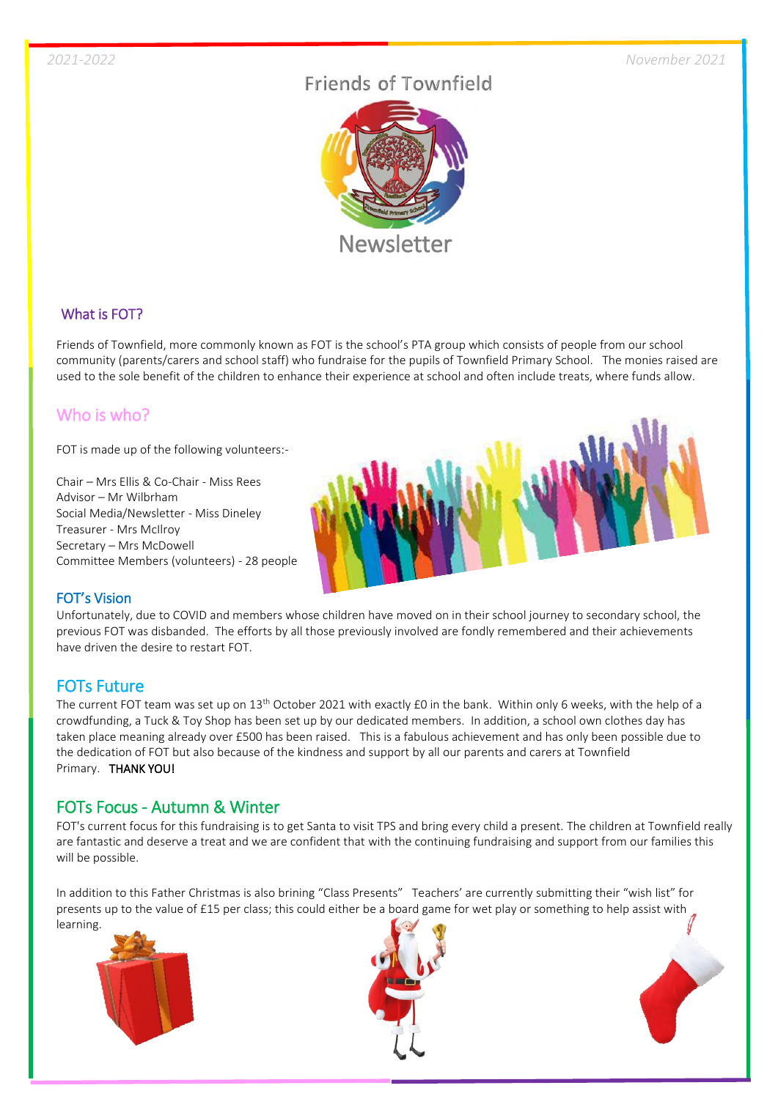# Friends of Townfield



## What is FOT?

Friends of Townfield, more commonly known as FOT is the school's PTA group which consists of people from our school community (parents/carers and school staff) who fundraise for the pupils of Townfield Primary School. The monies raised are used to the sole benefit of the children to enhance their experience at school and often include treats, where funds allow.

# Who is who?

FOT is made up of the following volunteers:-

Chair – Mrs Ellis & Co-Chair - Miss Rees Advisor – Mr Wilbrham Social Media/Newsletter - Miss Dineley Treasurer - Mrs McIlroy Secretary – Mrs McDowell Committee Members (volunteers) - 28 people



#### FOT's Vision

Unfortunately, due to COVID and members whose children have moved on in their school journey to secondary school, the previous FOT was disbanded. The efforts by all those previously involved are fondly remembered and their achievements have driven the desire to restart FOT.

# FOTs Future

The current FOT team was set up on 13<sup>th</sup> October 2021 with exactly £0 in the bank. Within only 6 weeks, with the help of a crowdfunding, a Tuck & Toy Shop has been set up by our dedicated members. In addition, a school own clothes day has taken place meaning already over £500 has been raised. This is a fabulous achievement and has only been possible due to the dedication of FOT but also because of the kindness and support by all our parents and carers at Townfield Primary. THANK YOU!

## FOTs Focus - Autumn & Winter

FOT's current focus for this fundraising is to get Santa to visit TPS and bring every child a present. The children at Townfield really are fantastic and deserve a treat and we are confident that with the continuing fundraising and support from our families this will be possible.

In addition to this Father Christmas is also brining "Class Presents" Teachers' are currently submitting their "wish list" for presents up to the value of £15 per class; this could either be a board game for wet play or something to help assist with learning.